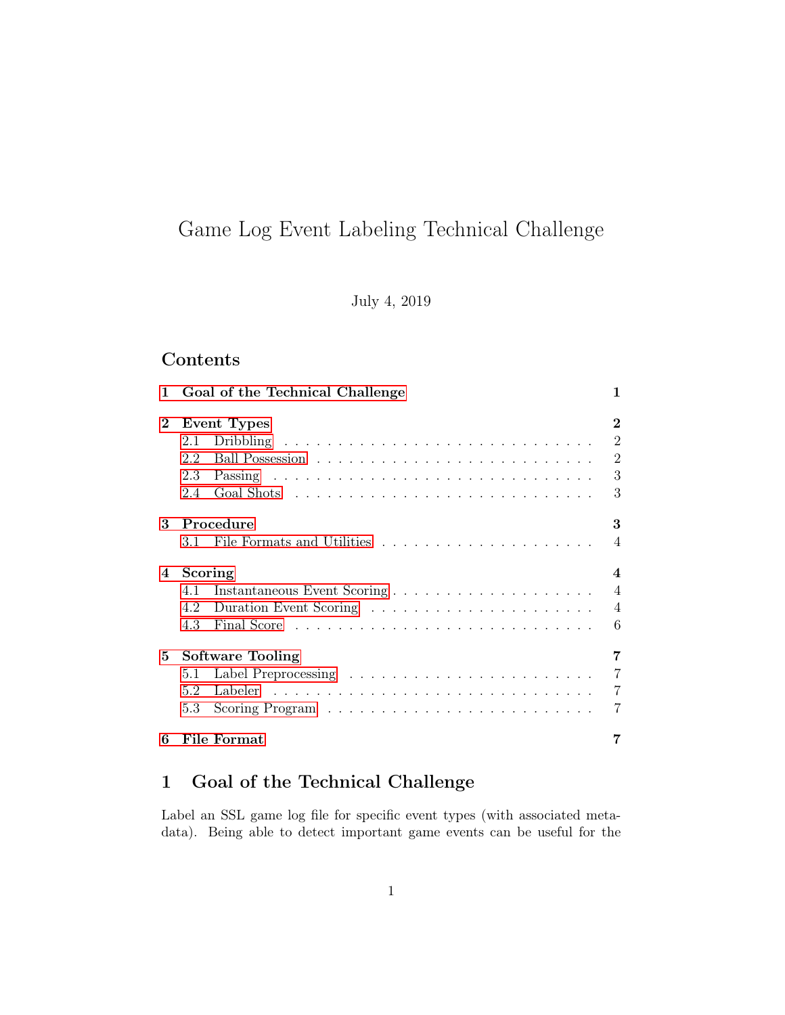# Game Log Event Labeling Technical Challenge

July 4, 2019

## Contents

| 1.       | Goal of the Technical Challenge    | 1              |  |  |  |  |
|----------|------------------------------------|----------------|--|--|--|--|
| $\bf{2}$ | <b>Event Types</b>                 | $\overline{2}$ |  |  |  |  |
|          | 2.1                                | $\overline{2}$ |  |  |  |  |
|          | 2.2                                | $\overline{2}$ |  |  |  |  |
|          | 2.3                                | 3              |  |  |  |  |
|          | 2.4                                | 3              |  |  |  |  |
| 3        | Procedure                          | 3              |  |  |  |  |
|          |                                    | $\overline{4}$ |  |  |  |  |
| 4        | Scoring<br>$\overline{\mathbf{4}}$ |                |  |  |  |  |
|          | 4.1                                |                |  |  |  |  |
|          |                                    | $\overline{4}$ |  |  |  |  |
|          | 4.3                                | 6              |  |  |  |  |
| 5.       | <b>Software Tooling</b>            | 7              |  |  |  |  |
|          | 5.1                                | $\overline{7}$ |  |  |  |  |
|          | 5.2                                | $\overline{7}$ |  |  |  |  |
|          | 5.3                                | 7              |  |  |  |  |
| 6        | File Format                        |                |  |  |  |  |

## <span id="page-0-0"></span>1 Goal of the Technical Challenge

Label an SSL game log file for specific event types (with associated metadata). Being able to detect important game events can be useful for the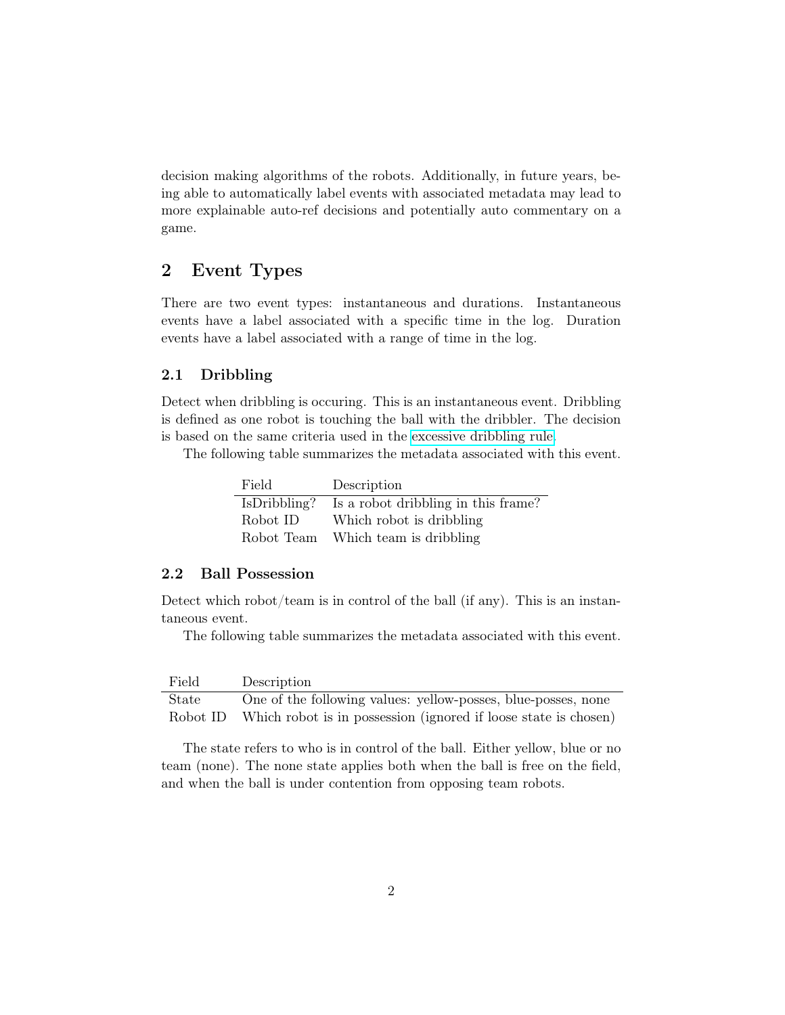decision making algorithms of the robots. Additionally, in future years, being able to automatically label events with associated metadata may lead to more explainable auto-ref decisions and potentially auto commentary on a game.

## <span id="page-1-0"></span>2 Event Types

There are two event types: instantaneous and durations. Instantaneous events have a label associated with a specific time in the log. Duration events have a label associated with a range of time in the log.

#### <span id="page-1-1"></span>2.1 Dribbling

Detect when dribbling is occuring. This is an instantaneous event. Dribbling is defined as one robot is touching the ball with the dribbler. The decision is based on the same criteria used in the [excessive dribbling rule.](https://robocup-ssl.github.io/ssl-rules/sslrules.html#_excessive_dribbling)

The following table summarizes the metadata associated with this event.

| Field        | Description                         |
|--------------|-------------------------------------|
| IsDribbling? | Is a robot dribbling in this frame? |
| Robot ID     | Which robot is dribbling            |
| Robot Team   | Which team is dribbling             |

### <span id="page-1-2"></span>2.2 Ball Possession

Detect which robot/team is in control of the ball (if any). This is an instantaneous event.

The following table summarizes the metadata associated with this event.

| Field | Description                                                              |
|-------|--------------------------------------------------------------------------|
| State | One of the following values: yellow-posses, blue-posses, none            |
|       | Robot ID Which robot is in possession (ignored if loose state is chosen) |

The state refers to who is in control of the ball. Either yellow, blue or no team (none). The none state applies both when the ball is free on the field, and when the ball is under contention from opposing team robots.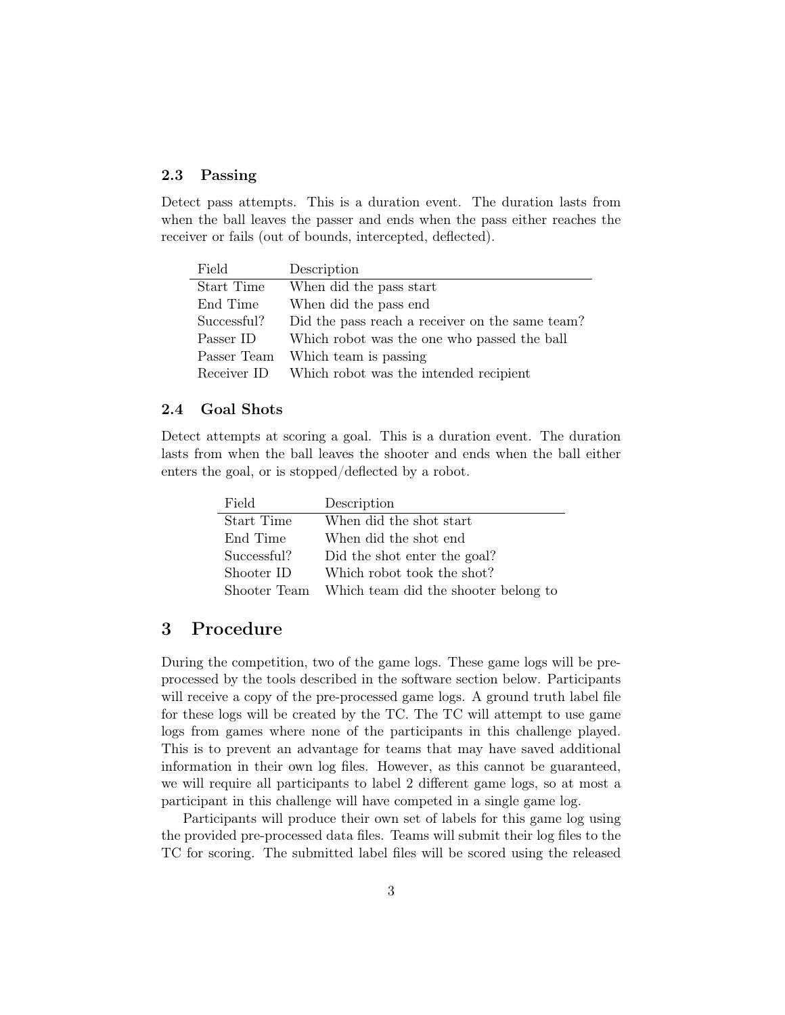### <span id="page-2-0"></span>2.3 Passing

Detect pass attempts. This is a duration event. The duration lasts from when the ball leaves the passer and ends when the pass either reaches the receiver or fails (out of bounds, intercepted, deflected).

| Field       | Description                                     |
|-------------|-------------------------------------------------|
| Start Time  | When did the pass start                         |
| End Time    | When did the pass end                           |
| Successful? | Did the pass reach a receiver on the same team? |
| Passer ID   | Which robot was the one who passed the ball     |
| Passer Team | Which team is passing                           |
| Receiver ID | Which robot was the intended recipient          |

#### <span id="page-2-1"></span>2.4 Goal Shots

Detect attempts at scoring a goal. This is a duration event. The duration lasts from when the ball leaves the shooter and ends when the ball either enters the goal, or is stopped/deflected by a robot.

| Field       | Description                                       |
|-------------|---------------------------------------------------|
| Start Time  | When did the shot start                           |
| End Time    | When did the shot end                             |
| Successful? | Did the shot enter the goal?                      |
| Shooter ID  | Which robot took the shot?                        |
|             | Shooter Team Which team did the shooter belong to |

## <span id="page-2-2"></span>3 Procedure

During the competition, two of the game logs. These game logs will be preprocessed by the tools described in the software section below. Participants will receive a copy of the pre-processed game logs. A ground truth label file for these logs will be created by the TC. The TC will attempt to use game logs from games where none of the participants in this challenge played. This is to prevent an advantage for teams that may have saved additional information in their own log files. However, as this cannot be guaranteed, we will require all participants to label 2 different game logs, so at most a participant in this challenge will have competed in a single game log.

Participants will produce their own set of labels for this game log using the provided pre-processed data files. Teams will submit their log files to the TC for scoring. The submitted label files will be scored using the released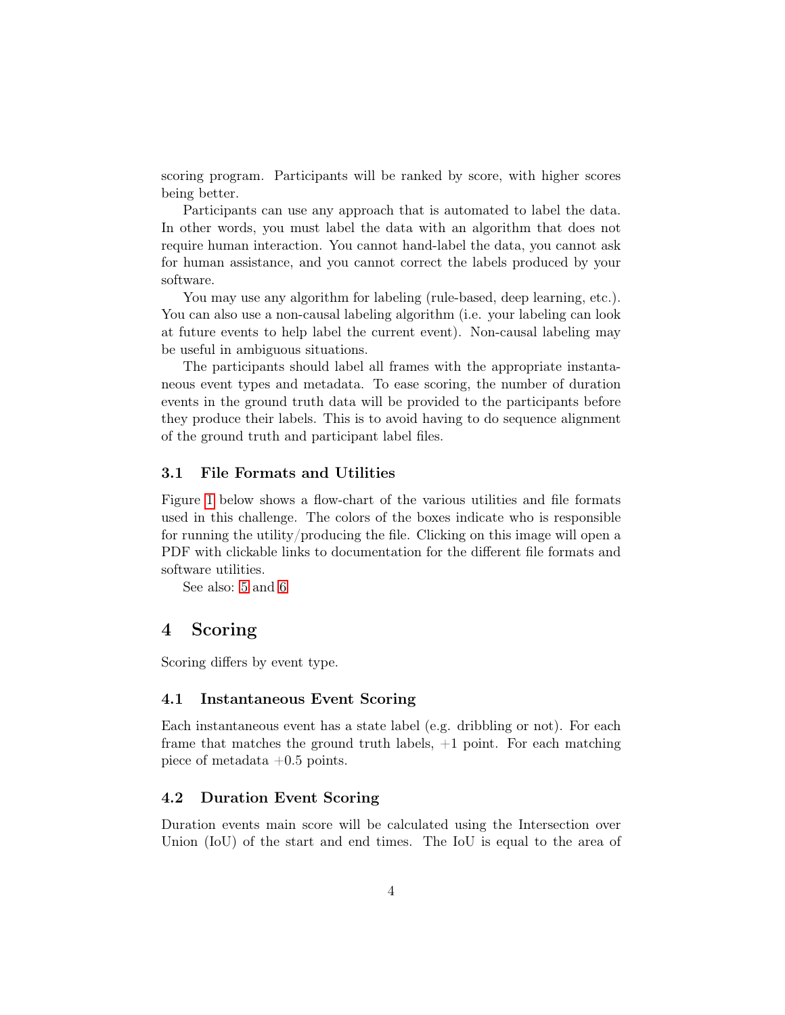scoring program. Participants will be ranked by score, with higher scores being better.

Participants can use any approach that is automated to label the data. In other words, you must label the data with an algorithm that does not require human interaction. You cannot hand-label the data, you cannot ask for human assistance, and you cannot correct the labels produced by your software.

You may use any algorithm for labeling (rule-based, deep learning, etc.). You can also use a non-causal labeling algorithm (i.e. your labeling can look at future events to help label the current event). Non-causal labeling may be useful in ambiguous situations.

The participants should label all frames with the appropriate instantaneous event types and metadata. To ease scoring, the number of duration events in the ground truth data will be provided to the participants before they produce their labels. This is to avoid having to do sequence alignment of the ground truth and participant label files.

#### <span id="page-3-0"></span>3.1 File Formats and Utilities

Figure [1](#page-4-0) below shows a flow-chart of the various utilities and file formats used in this challenge. The colors of the boxes indicate who is responsible for running the utility/producing the file. Clicking on this image will open a PDF with clickable links to documentation for the different file formats and software utilities.

See also: [5](#page-6-0) and [6](#page-6-4)

## <span id="page-3-1"></span>4 Scoring

Scoring differs by event type.

#### <span id="page-3-2"></span>4.1 Instantaneous Event Scoring

Each instantaneous event has a state label (e.g. dribbling or not). For each frame that matches the ground truth labels,  $+1$  point. For each matching piece of metadata  $+0.5$  points.

#### <span id="page-3-3"></span>4.2 Duration Event Scoring

Duration events main score will be calculated using the Intersection over Union (IoU) of the start and end times. The IoU is equal to the area of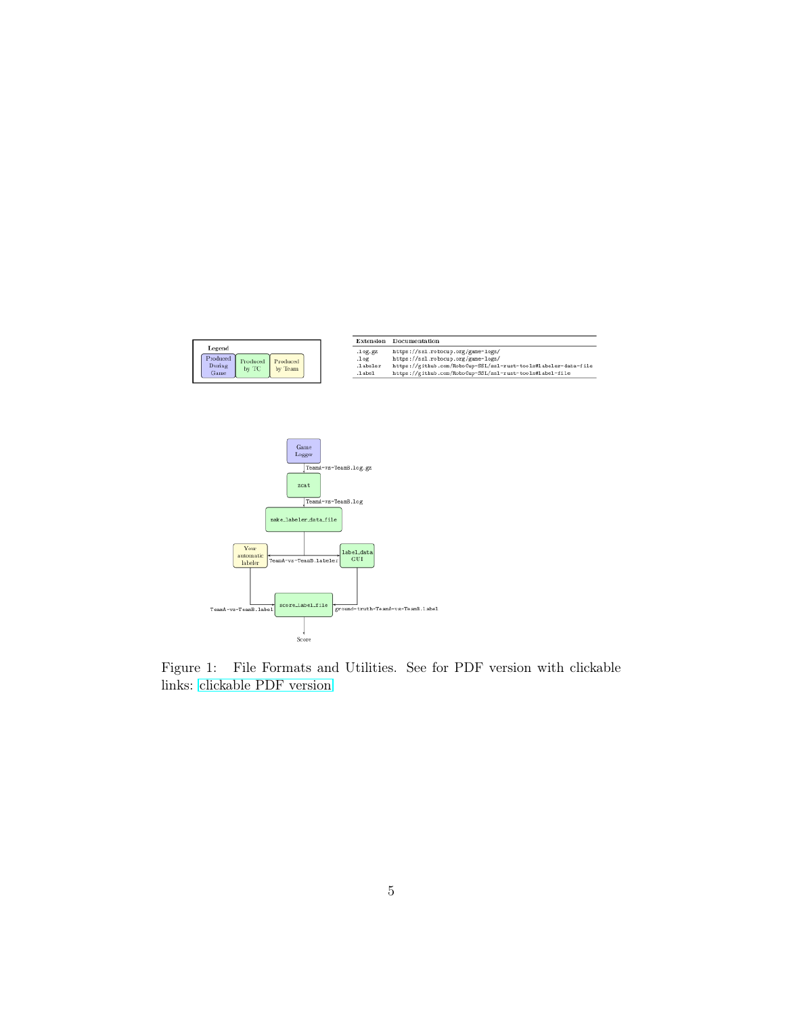

<span id="page-4-0"></span>Figure 1: File Formats and Utilities. See for PDF version with clickable links: [clickable PDF version](https://github.com/RoboCup-SSL/technical-challenge-rules/raw/master/ssl-game-log-labeling-figs/file_format_flowchart.pdf)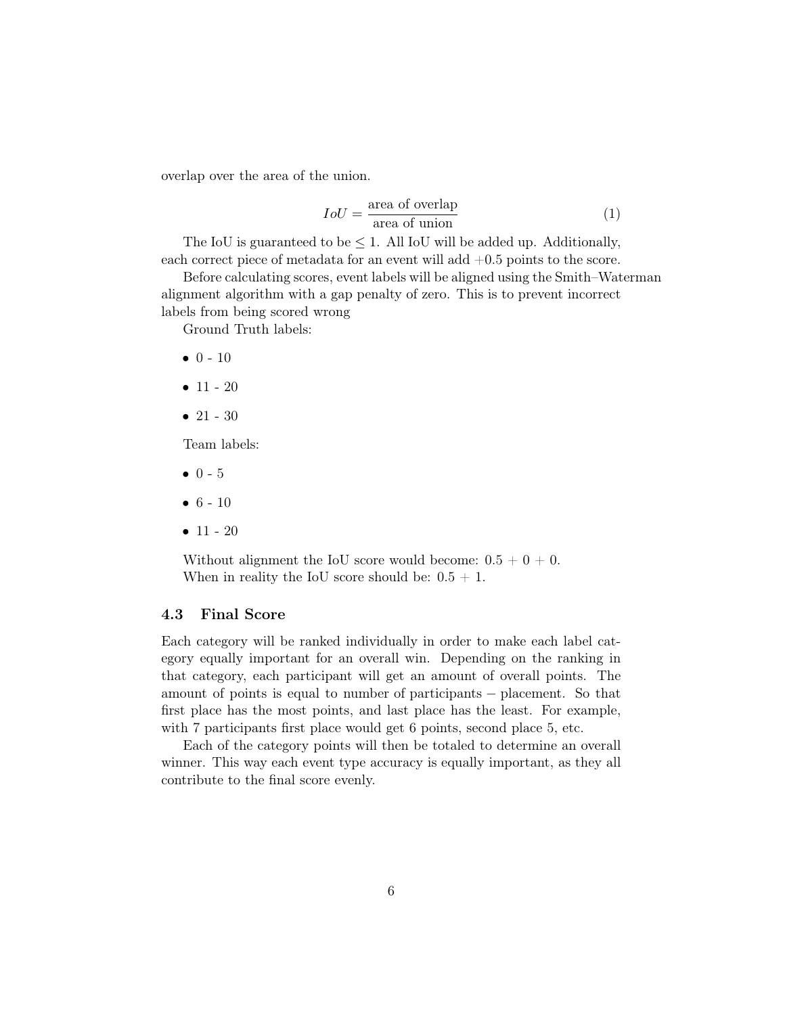overlap over the area of the union.

$$
IoU = \frac{\text{area of overlap}}{\text{area of union}} \tag{1}
$$

The IoU is guaranteed to be  $\leq 1$ . All IoU will be added up. Additionally, each correct piece of metadata for an event will add  $+0.5$  points to the score.

Before calculating scores, event labels will be aligned using the Smith–Waterman alignment algorithm with a gap penalty of zero. This is to prevent incorrect labels from being scored wrong

Ground Truth labels:

- $0 10$
- $11 20$
- $21 30$

Team labels:

- $0 5$
- $6 10$
- $11 20$

Without alignment the IoU score would become:  $0.5 + 0 + 0$ . When in reality the IoU score should be:  $0.5 + 1$ .

## <span id="page-5-0"></span>4.3 Final Score

Each category will be ranked individually in order to make each label category equally important for an overall win. Depending on the ranking in that category, each participant will get an amount of overall points. The amount of points is equal to number of participants − placement. So that first place has the most points, and last place has the least. For example, with 7 participants first place would get 6 points, second place 5, etc.

Each of the category points will then be totaled to determine an overall winner. This way each event type accuracy is equally important, as they all contribute to the final score evenly.